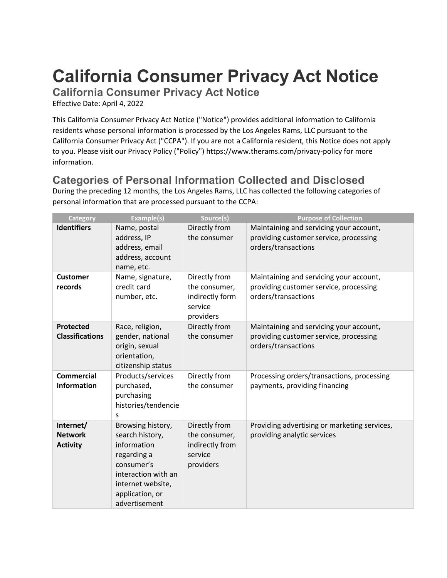# **California Consumer Privacy Act Notice**

**California Consumer Privacy Act Notice**

Effective Date: April 4, 2022

This California Consumer Privacy Act Notice ("Notice") provides additional information to California residents whose personal information is processed by the Los Angeles Rams, LLC pursuant to the California Consumer Privacy Act ("CCPA"). If you are not a California resident, this Notice does not apply to you. Please visit our Privacy Policy ("Policy") <https://www.therams.com/privacy-policy> for more information.

#### **Categories of Personal Information Collected and Disclosed**

During the preceding 12 months, the Los Angeles Rams, LLC has collected the following categories of personal information that are processed pursuant to the CCPA:

| Category                                       | <b>Example(s)</b>                                                                                                                                                | Source(s)                                                                 | <b>Purpose of Collection</b>                                                                             |
|------------------------------------------------|------------------------------------------------------------------------------------------------------------------------------------------------------------------|---------------------------------------------------------------------------|----------------------------------------------------------------------------------------------------------|
| <b>Identifiers</b>                             | Name, postal<br>address, IP<br>address, email<br>address, account<br>name, etc.                                                                                  | Directly from<br>the consumer                                             | Maintaining and servicing your account,<br>providing customer service, processing<br>orders/transactions |
| <b>Customer</b><br>records                     | Name, signature,<br>credit card<br>number, etc.                                                                                                                  | Directly from<br>the consumer,<br>indirectly form<br>service<br>providers | Maintaining and servicing your account,<br>providing customer service, processing<br>orders/transactions |
| <b>Protected</b><br><b>Classifications</b>     | Race, religion,<br>gender, national<br>origin, sexual<br>orientation,<br>citizenship status                                                                      | Directly from<br>the consumer                                             | Maintaining and servicing your account,<br>providing customer service, processing<br>orders/transactions |
| <b>Commercial</b><br><b>Information</b>        | Products/services<br>purchased,<br>purchasing<br>histories/tendencie<br>s                                                                                        | Directly from<br>the consumer                                             | Processing orders/transactions, processing<br>payments, providing financing                              |
| Internet/<br><b>Network</b><br><b>Activity</b> | Browsing history,<br>search history,<br>information<br>regarding a<br>consumer's<br>interaction with an<br>internet website,<br>application, or<br>advertisement | Directly from<br>the consumer,<br>indirectly from<br>service<br>providers | Providing advertising or marketing services,<br>providing analytic services                              |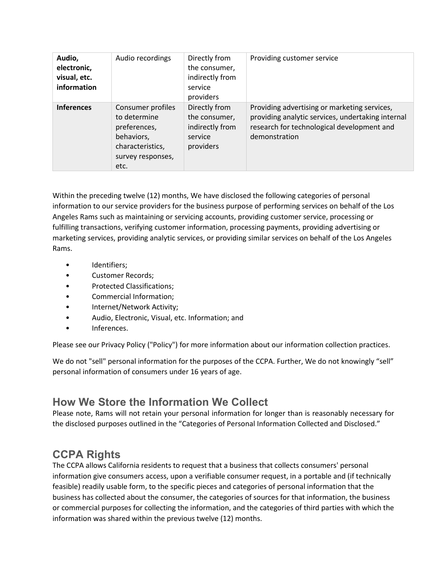| Audio,<br>electronic,<br>visual, etc.<br>information | Audio recordings                                                                                                 | Directly from<br>the consumer,<br>indirectly from<br>service<br>providers | Providing customer service                                                                                                                                       |
|------------------------------------------------------|------------------------------------------------------------------------------------------------------------------|---------------------------------------------------------------------------|------------------------------------------------------------------------------------------------------------------------------------------------------------------|
| <b>Inferences</b>                                    | Consumer profiles<br>to determine<br>preferences,<br>behaviors,<br>characteristics,<br>survey responses,<br>etc. | Directly from<br>the consumer,<br>indirectly from<br>service<br>providers | Providing advertising or marketing services,<br>providing analytic services, undertaking internal<br>research for technological development and<br>demonstration |

Within the preceding twelve (12) months, We have disclosed the following categories of personal information to our service providers for the business purpose of performing services on behalf of the Los Angeles Rams such as maintaining or servicing accounts, providing customer service, processing or fulfilling transactions, verifying customer information, processing payments, providing advertising or marketing services, providing analytic services, or providing similar services on behalf of the Los Angeles Rams.

- Identifiers;
- Customer Records;
- Protected Classifications;
- Commercial Information;
- Internet/Network Activity;
- Audio, Electronic, Visual, etc. Information; and
- Inferences.

Please see our Privacy Policy ("Policy") for more information about our information collection practices.

We do not "sell" personal information for the purposes of the CCPA. Further, We do not knowingly "sell" personal information of consumers under 16 years of age.

#### **How We Store the Information We Collect**

Please note, Rams will not retain your personal information for longer than is reasonably necessary for the disclosed purposes outlined in the "Categories of Personal Information Collected and Disclosed."

## **CCPA Rights**

The CCPA allows California residents to request that a business that collects consumers' personal information give consumers access, upon a verifiable consumer request, in a portable and (if technically feasible) readily usable form, to the specific pieces and categories of personal information that the business has collected about the consumer, the categories of sources for that information, the business or commercial purposes for collecting the information, and the categories of third parties with which the information was shared within the previous twelve (12) months.